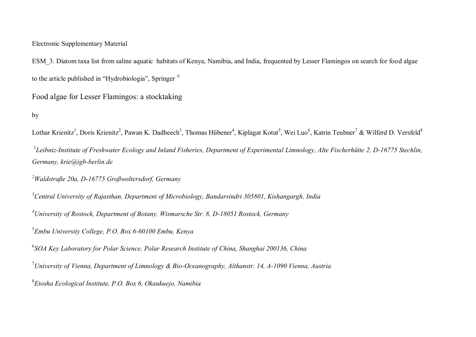## Electronic Supplementary Material

ESM\_3. Diatom taxa list from saline aquatic habitats of Kenya, Namibia, and India, frequented by Lesser Flamingos on search for food algae to the article published in "Hydrobiologia", Springer ©

Food algae for Lesser Flamingos: a stocktaking

## by

Lothar Krienitz<sup>1</sup>, Doris Krienitz<sup>2</sup>, Pawan K. Dadheech<sup>3</sup>, Thomas Hübener<sup>4</sup>, Kiplagat Kotut<sup>5</sup>, Wei Luo<sup>6</sup>, Katrin Teubner<sup>7</sup> & Wilferd D. Versfeld<sup>8</sup>

<sup>1</sup>Leibniz-Institute of Freshwater Ecology and Inland Fisheries, Department of Experimental Limnology, Alte Fischerhütte 2, D-16775 Stechlin, *Germany, krie@igb-berlin.de* 

*<sup>2</sup>Waldstraße 20a, D-16775 Großwoltersdorf, Germany*

*<sup>3</sup>Central University of Rajasthan, Department of Microbiology, Bandarsindri 305801, Kishangargh, India*

*<sup>4</sup>University of Rostock, Department of Botany, Wismarsche Str. 8, D-18051 Rostock, Germany*

5 *Embu University College, P.O. Box 6-60100 Embu, Kenya*

6 *SOA Key Laboratory for Polar Science, Polar Research Institute of China, Shanghai 200136, China*

<sup>7</sup>*University of Vienna, Department of Limnology & Bio-Oceanography, Althanstr. 14, A-1090 Vienna, Austria*

8 *Etosha Ecological Institute, P.O. Box 6, Okaukuejo, Namibia*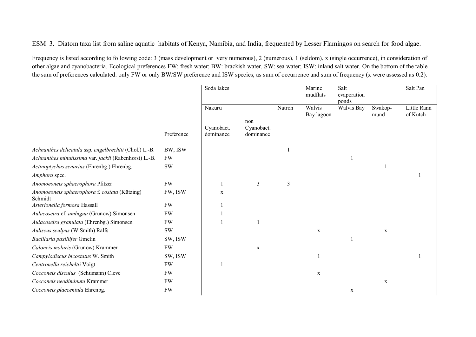ESM\_3. Diatom taxa list from saline aquatic habitats of Kenya, Namibia, and India, frequented by Lesser Flamingos on search for food algae.

Frequency is listed according to following code: 3 (mass development or very numerous), 2 (numerous), 1 (seldom), x (single occurrence), in consideration of other algae and cyanobacteria. Ecological preferences FW: fresh water; BW: brackish water, SW: sea water; ISW: inland salt water. On the bottom of the table the sum of preferences calculated: only FW or only BW/SW preference and ISW species, as sum of occurrence and sum of frequency (x were assessed as 0.2).

|                                                          |            | Soda lakes              |                                |        | Marine<br>mudflats   | Salt<br>evaporation<br>ponds |                 | Salt Pan                |
|----------------------------------------------------------|------------|-------------------------|--------------------------------|--------|----------------------|------------------------------|-----------------|-------------------------|
|                                                          |            | Nakuru                  |                                | Natron | Walvis<br>Bay lagoon | Walvis Bay                   | Swakop-<br>mund | Little Rann<br>of Kutch |
|                                                          | Preference | Cyanobact.<br>dominance | non<br>Cyanobact.<br>dominance |        |                      |                              |                 |                         |
| Achnanthes delicatula ssp. engelbrechtii (Chol.) L.-B.   | BW, ISW    |                         |                                |        |                      |                              |                 |                         |
| Achnanthes minutissima var. jackii (Rabenhorst) L.-B.    | <b>FW</b>  |                         |                                |        |                      |                              |                 |                         |
| Actinoptychus senarius (Ehrenbg.) Ehrenbg.               | <b>SW</b>  |                         |                                |        |                      |                              |                 |                         |
| Amphora spec.                                            |            |                         |                                |        |                      |                              |                 |                         |
| Anomoeoneis sphaerophora Pfitzer                         | FW         |                         | 3                              | 3      |                      |                              |                 |                         |
| Anomoeoneis sphaerophora f. costata (Kützing)<br>Schmidt | FW, ISW    | $\mathbf X$             |                                |        |                      |                              |                 |                         |
| Asterionella formosa Hassall                             | <b>FW</b>  |                         |                                |        |                      |                              |                 |                         |
| Aulacoseira cf. ambigua (Grunow) Simonsen                | <b>FW</b>  |                         |                                |        |                      |                              |                 |                         |
| Aulacoseira granulata (Ehrenbg.) Simonsen                | <b>FW</b>  |                         |                                |        |                      |                              |                 |                         |
| Auliscus sculpus (W.Smith) Ralfs                         | <b>SW</b>  |                         |                                |        | $\mathbf X$          |                              | $\mathbf X$     |                         |
| Bacillaria paxillifer Gmelin                             | SW, ISW    |                         |                                |        |                      |                              |                 |                         |
| Caloneis molaris (Grunow) Krammer                        | <b>FW</b>  |                         | $\mathbf X$                    |        |                      |                              |                 |                         |
| Campylodiscus bicostatus W. Smith                        | SW, ISW    |                         |                                |        |                      |                              |                 |                         |
| Centronella reicheltii Voigt                             | <b>FW</b>  |                         |                                |        |                      |                              |                 |                         |
| Cocconeis disculus (Schumann) Cleve                      | <b>FW</b>  |                         |                                |        | $\mathbf X$          |                              |                 |                         |
| Cocconeis neodiminuta Krammer                            | <b>FW</b>  |                         |                                |        |                      |                              | $\mathbf X$     |                         |
| Cocconeis placcentula Ehrenbg.                           | <b>FW</b>  |                         |                                |        |                      | $\mathbf X$                  |                 |                         |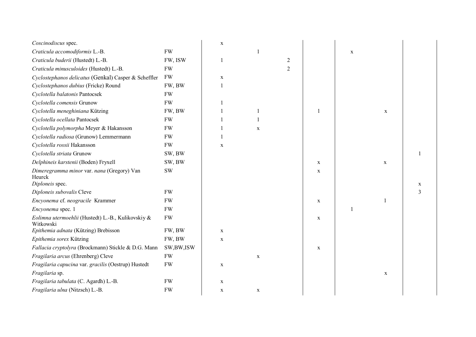| Coscinodiscus spec.                                                     |           | $\mathbf X$ |             |                |             |              |             |                |
|-------------------------------------------------------------------------|-----------|-------------|-------------|----------------|-------------|--------------|-------------|----------------|
| Craticula accomodiformis L.-B.                                          | <b>FW</b> |             |             |                |             | $\mathbf X$  |             |                |
| Craticula buderii (Hustedt) L.-B.                                       | FW, ISW   |             |             | $\overline{c}$ |             |              |             |                |
| Craticula minusculoides (Hustedt) L.-B.                                 | <b>FW</b> |             |             | $\overline{2}$ |             |              |             |                |
| Cyclostephanos delicatus (Genkal) Casper & Scheffler                    | <b>FW</b> | X           |             |                |             |              |             |                |
| Cyclostephanos dubius (Fricke) Round                                    | FW, BW    |             |             |                |             |              |             |                |
| Cyclotella balatonis Pantocsek                                          | <b>FW</b> |             |             |                |             |              |             |                |
| Cyclotella comensis Grunow                                              | <b>FW</b> |             |             |                |             |              |             |                |
| Cyclotella meneghiniana Kützing                                         | FW, BW    |             |             |                | 1           |              | $\mathbf X$ |                |
| Cyclotella ocellata Pantocsek                                           | <b>FW</b> |             |             |                |             |              |             |                |
| Cyclotella polymorpha Meyer & Hakansson                                 | <b>FW</b> |             | $\mathbf X$ |                |             |              |             |                |
| Cyclotella radiosa (Grunow) Lemmermann                                  | <b>FW</b> |             |             |                |             |              |             |                |
| Cyclotella rossii Hakansson                                             | <b>FW</b> | $\mathbf X$ |             |                |             |              |             |                |
| Cyclotella striata Grunow                                               | SW, BW    |             |             |                |             |              |             |                |
| Delphineis karstenii (Boden) Fryxell                                    | SW, BW    |             |             |                | $\mathbf X$ |              | $\mathbf x$ |                |
| Dimeregramma minor var. nana (Gregory) Van<br>Heurck<br>Diploneis spec. | <b>SW</b> |             |             |                | $\mathbf X$ |              |             | X              |
| Diploneis subovalis Cleve                                               | <b>FW</b> |             |             |                |             |              |             | $\overline{3}$ |
| Encyonema cf. neogracile Krammer                                        | <b>FW</b> |             |             |                | $\mathbf X$ |              |             |                |
| Encyonema spec. 1                                                       | <b>FW</b> |             |             |                |             | $\mathbf{1}$ |             |                |
| Eolimna utermoehlii (Hustedt) L.-B., Kulikovskiy &<br>Witkowski         | <b>FW</b> |             |             |                | $\mathbf X$ |              |             |                |
| Epithemia adnata (Kützing) Brebisson                                    | FW, BW    | $\mathbf X$ |             |                |             |              |             |                |
| Epithemia sorex Kützing                                                 | FW, BW    | $\mathbf X$ |             |                |             |              |             |                |
| Fallacia cryptolyra (Brockmann) Stickle & D.G. Mann                     | SW,BW,ISW |             |             |                | $\mathbf X$ |              |             |                |
| Fragilaria arcus (Ehrenberg) Cleve                                      | <b>FW</b> |             | $\mathbf X$ |                |             |              |             |                |
| Fragilaria capucina var. gracilis (Oestrup) Hustedt                     | <b>FW</b> | $\mathbf X$ |             |                |             |              |             |                |
| Fragilaria sp.                                                          |           |             |             |                |             |              | $\mathbf X$ |                |
| Fragilaria tabulata (C. Agardh) L.-B.                                   | <b>FW</b> | $\mathbf X$ |             |                |             |              |             |                |
| Fragilaria ulna (Nitzsch) L.-B.                                         | <b>FW</b> | $\mathbf X$ | $\mathbf X$ |                |             |              |             |                |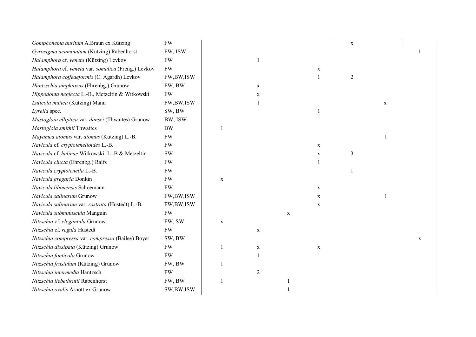| Gomphonema auritum A.Braun ex Kützing               | <b>FW</b>   |             |                |             |              | $\mathbf X$    |             |             |
|-----------------------------------------------------|-------------|-------------|----------------|-------------|--------------|----------------|-------------|-------------|
| Gyrosigma acuminatum (Kützing) Rabenhorst           | FW, ISW     |             |                |             |              |                |             |             |
| Halamphora cf. veneta (Kützing) Levkov              | ${\rm FW}$  |             |                |             |              |                |             |             |
| Halamphora cf. veneta var. somalica (Freng.) Levkov | ${\rm FW}$  |             |                |             | $\mathbf X$  |                |             |             |
| Halamphora coffeaeformis (C. Agardh) Levkov         | FW,BW,ISW   |             |                |             | $\mathbf{1}$ | $\sqrt{2}$     |             |             |
| Hantzschia amphioxus (Ehrenbg.) Grunow              | FW, BW      |             | $\mathbf X$    |             |              |                |             |             |
| Hippodonta neglecta L.-B., Metzeltin & Witkowski    | <b>FW</b>   |             | $\mathbf X$    |             |              |                |             |             |
| Luticola mutica (Kützing) Mann                      | FW,BW,ISW   |             |                |             |              |                | $\mathbf X$ |             |
| Lyrella spec.                                       | SW, BW      |             |                |             |              |                |             |             |
| Mastogloia elliptica var. dansei (Thwaites) Grunow  | BW, ISW     |             |                |             |              |                |             |             |
| Mastogloia smithii Thwaites                         | <b>BW</b>   |             |                |             |              |                |             |             |
| Mayamea atomus var. atomus (Kützing) L.-B.          | ${\rm FW}$  |             |                |             |              |                |             |             |
| Navicula cf. cryptotenelloides L.-B.                | ${\rm FW}$  |             |                |             | $\mathbf X$  |                |             |             |
| Navicula cf. halinae Witkowski, L.-B & Metzeltin    | <b>SW</b>   |             |                |             | $\mathbf X$  | $\mathfrak{Z}$ |             |             |
| Navicula cincta (Ehrenbg.) Ralfs                    | ${\rm FW}$  |             |                |             | 1            |                |             |             |
| Navicula cryptotenella L.-B.                        | <b>FW</b>   |             |                |             |              |                |             |             |
| Navicula gregaria Donkin                            | <b>FW</b>   | $\mathbf X$ |                |             |              |                |             |             |
| Navicula libonensis Schoemann                       | <b>FW</b>   |             |                |             | $\mathbf X$  |                |             |             |
| Navicula salinarum Grunow                           | FW,BW,ISW   |             |                |             | $\mathbf X$  |                |             |             |
| Navicula salinarum var. rostrata (Hustedt) L.-B.    | FW,BW,ISW   |             |                |             | $\mathbf X$  |                |             |             |
| Navicula subminuscula Manguin                       | <b>FW</b>   |             |                | $\mathbf X$ |              |                |             |             |
| Nitzschia cf. elegantula Grunow                     | FW, SW      | $\mathbf X$ |                |             |              |                |             |             |
| Nitzschia cf. regula Hustedt                        | <b>FW</b>   |             | $\mathbf X$    |             |              |                |             |             |
| Nitzschia compressa var. compressa (Bailey) Boyer   | SW, BW      |             |                |             |              |                |             | $\mathbf x$ |
| Nitzschia dissipata (Kützing) Grunow                | <b>FW</b>   |             | $\mathbf X$    |             | $\mathbf X$  |                |             |             |
| Nitzschia fonticola Grunow                          | <b>FW</b>   |             |                |             |              |                |             |             |
| Nitzschia frustulum (Kützing) Grunow                | FW, BW      |             |                |             |              |                |             |             |
| Nitzschia intermedia Hantzsch                       | <b>FW</b>   |             | $\overline{2}$ |             |              |                |             |             |
| Nitzschia liebethrutii Rabenhorst                   | FW, BW      |             |                | 1           |              |                |             |             |
| Nitzschia ovalis Arnott ex Grunow                   | SW, BW, ISW |             |                |             |              |                |             |             |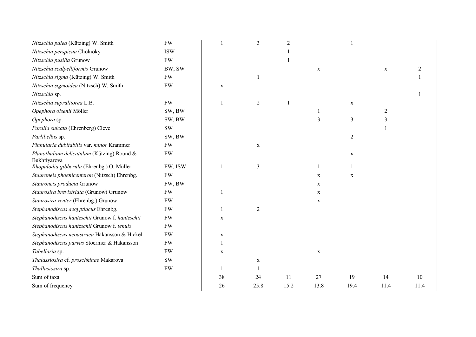| Nitzschia palea (Kützing) W. Smith                         | <b>FW</b>     |              | 3               | $\overline{2}$  |                 |                 |                |      |
|------------------------------------------------------------|---------------|--------------|-----------------|-----------------|-----------------|-----------------|----------------|------|
| Nitzschia perspicua Cholnoky                               | <b>ISW</b>    |              |                 |                 |                 |                 |                |      |
| Nitzschia pusilla Grunow                                   | <b>FW</b>     |              |                 |                 |                 |                 |                |      |
| Nitzschia scalpelliformis Grunow                           | BW, SW        |              |                 |                 | $\mathbf X$     |                 | $\mathbf X$    | 2    |
| Nitzschia sigma (Kützing) W. Smith                         | <b>FW</b>     |              |                 |                 |                 |                 |                |      |
| Nitzschia sigmoidea (Nitzsch) W. Smith                     | <b>FW</b>     | $\mathbf x$  |                 |                 |                 |                 |                |      |
| Nitzschia sp.                                              |               |              |                 |                 |                 |                 |                |      |
| Nitzschia supralitorea L.B.                                | <b>FW</b>     | $\mathbf{1}$ | $\overline{2}$  |                 |                 | $\mathbf X$     |                |      |
| Opephora olsenii Möller                                    | SW, BW        |              |                 |                 |                 |                 | $\overline{2}$ |      |
| Opephora sp.                                               | SW, BW        |              |                 |                 | 3               | $\mathfrak{Z}$  | $\mathfrak{Z}$ |      |
| Paralia sulcata (Ehrenberg) Cleve                          | $\mathrm{SW}$ |              |                 |                 |                 |                 |                |      |
| Parlibellus sp.                                            | SW, BW        |              |                 |                 |                 | $\overline{2}$  |                |      |
| Pinnularia dubitabilis var. minor Krammer                  | <b>FW</b>     |              | $\mathbf X$     |                 |                 |                 |                |      |
| Planothidium delicatulum (Kützing) Round &<br>Bukhtiyarova | <b>FW</b>     |              |                 |                 |                 | $\mathbf X$     |                |      |
| Rhopalodia gibberula (Ehrenbg.) O. Müller                  | FW, ISW       |              | 3               |                 |                 | 1               |                |      |
| Stauroneis phoenicenteron (Nitzsch) Ehrenbg.               | <b>FW</b>     |              |                 |                 | $\mathbf X$     | $\mathbf X$     |                |      |
| Stauroneis producta Grunow                                 | FW, BW        |              |                 |                 | $\mathbf X$     |                 |                |      |
| Staurosira brevistriata (Grunow) Grunow                    | ${\rm FW}$    |              |                 |                 | $\mathbf X$     |                 |                |      |
| Staurosira venter (Ehrenbg.) Grunow                        | <b>FW</b>     |              |                 |                 | $\mathbf X$     |                 |                |      |
| Stephanodiscus aegyptiacus Ehrenbg.                        | <b>FW</b>     |              | 2               |                 |                 |                 |                |      |
| Stephanodiscus hantzschii Grunow f. hantzschii             | <b>FW</b>     | $\mathbf X$  |                 |                 |                 |                 |                |      |
| Stephanodiscus hantzschii Grunow f. tenuis                 | <b>FW</b>     |              |                 |                 |                 |                 |                |      |
| Stephanodiscus neoastraea Hakansson & Hickel               | <b>FW</b>     | $\mathbf X$  |                 |                 |                 |                 |                |      |
| Stephanodiscus parvus Stoermer & Hakansson                 | <b>FW</b>     |              |                 |                 |                 |                 |                |      |
| Tabellaria sp.                                             | <b>FW</b>     | $\mathbf X$  |                 |                 | $\mathbf X$     |                 |                |      |
| Thalassiosira cf. proschkinae Makarova                     | <b>SW</b>     |              | X               |                 |                 |                 |                |      |
| Thallasiosira sp.                                          | <b>FW</b>     |              | 1               |                 |                 |                 |                |      |
| Sum of taxa                                                |               | 38           | $\overline{24}$ | $\overline{11}$ | $\overline{27}$ | $\overline{19}$ | 14             | 10   |
| Sum of frequency                                           |               | 26           | 25.8            | 15.2            | 13.8            | 19.4            | 11.4           | 11.4 |